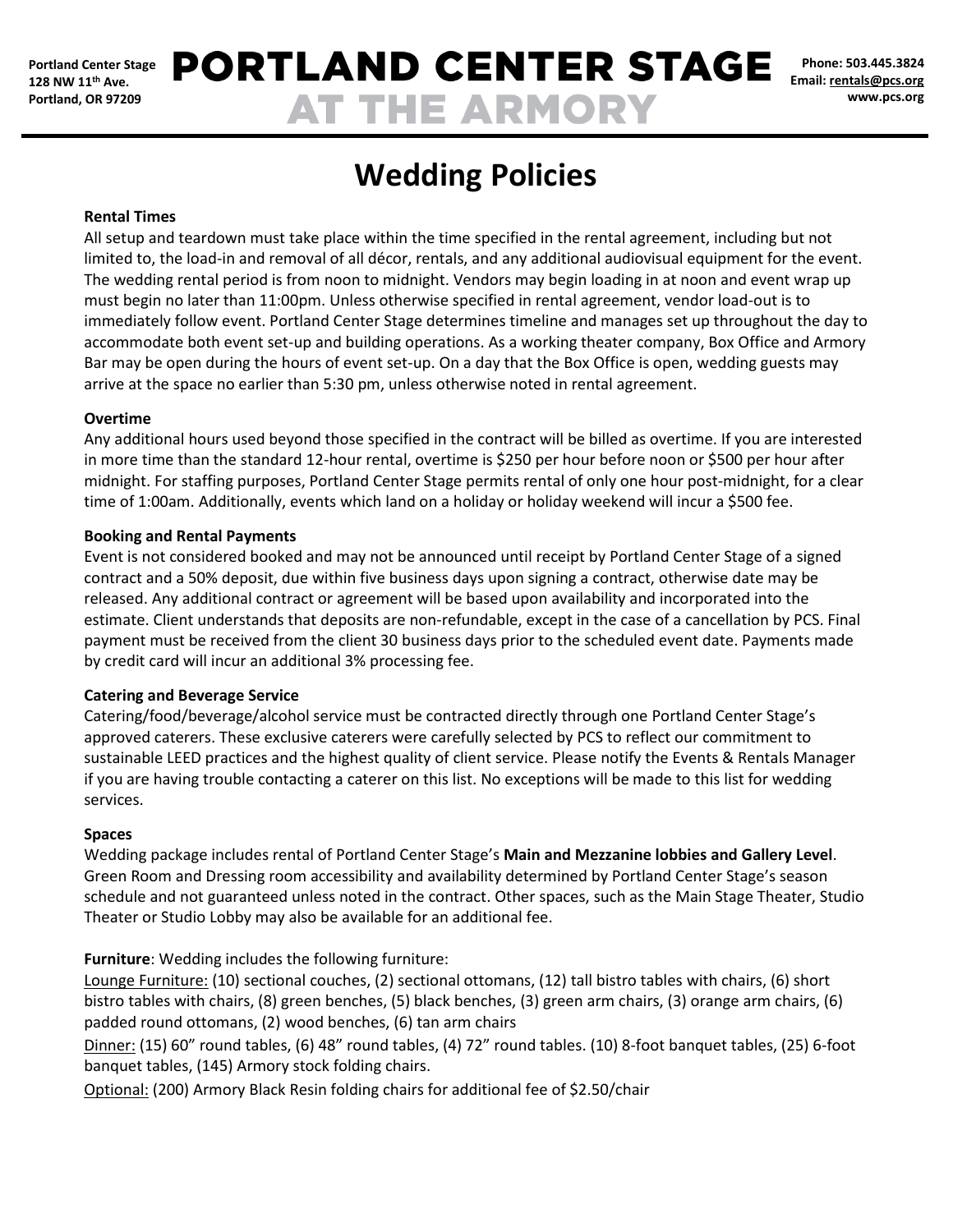# **PORTLAND CENTER STAGE AT THE ARMORY**

**Phone: 503.445.3824 Email: [rentals@pcs.org](mailto:rentals@pcs.org) www.pcs.org**

# **Wedding Policies**

### **Rental Times**

All setup and teardown must take place within the time specified in the rental agreement, including but not limited to, the load-in and removal of all décor, rentals, and any additional audiovisual equipment for the event. The wedding rental period is from noon to midnight. Vendors may begin loading in at noon and event wrap up must begin no later than 11:00pm. Unless otherwise specified in rental agreement, vendor load-out is to immediately follow event. Portland Center Stage determines timeline and manages set up throughout the day to accommodate both event set-up and building operations. As a working theater company, Box Office and Armory Bar may be open during the hours of event set-up. On a day that the Box Office is open, wedding guests may arrive at the space no earlier than 5:30 pm, unless otherwise noted in rental agreement.

#### **Overtime**

Any additional hours used beyond those specified in the contract will be billed as overtime. If you are interested in more time than the standard 12-hour rental, overtime is \$250 per hour before noon or \$500 per hour after midnight. For staffing purposes, Portland Center Stage permits rental of only one hour post-midnight, for a clear time of 1:00am. Additionally, events which land on a holiday or holiday weekend will incur a \$500 fee.

# **Booking and Rental Payments**

Event is not considered booked and may not be announced until receipt by Portland Center Stage of a signed contract and a 50% deposit, due within five business days upon signing a contract, otherwise date may be released. Any additional contract or agreement will be based upon availability and incorporated into the estimate. Client understands that deposits are non-refundable, except in the case of a cancellation by PCS. Final payment must be received from the client 30 business days prior to the scheduled event date. Payments made by credit card will incur an additional 3% processing fee.

# **Catering and Beverage Service**

Catering/food/beverage/alcohol service must be contracted directly through one Portland Center Stage's approved caterers. These exclusive caterers were carefully selected by PCS to reflect our commitment to sustainable LEED practices and the highest quality of client service. Please notify the Events & Rentals Manager if you are having trouble contacting a caterer on this list. No exceptions will be made to this list for wedding services.

#### **Spaces**

Wedding package includes rental of Portland Center Stage's **Main and Mezzanine lobbies and Gallery Level**. Green Room and Dressing room accessibility and availability determined by Portland Center Stage's season schedule and not guaranteed unless noted in the contract. Other spaces, such as the Main Stage Theater, Studio Theater or Studio Lobby may also be available for an additional fee.

**Furniture**: Wedding includes the following furniture:

Lounge Furniture: (10) sectional couches, (2) sectional ottomans, (12) tall bistro tables with chairs, (6) short bistro tables with chairs, (8) green benches, (5) black benches, (3) green arm chairs, (3) orange arm chairs, (6) padded round ottomans, (2) wood benches, (6) tan arm chairs

Dinner: (15) 60" round tables, (6) 48" round tables, (4) 72" round tables. (10) 8-foot banquet tables, (25) 6-foot banquet tables, (145) Armory stock folding chairs.

Optional: (200) Armory Black Resin folding chairs for additional fee of \$2.50/chair